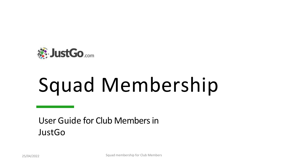

# Squad Membership

User Guide for Club Members in JustGo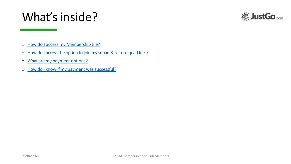# What's inside?



- o How do I access [my Membership tile?](https://d.docs.live.net/a92cacb86e40a85b/Desktop/Smart Rules User Guide.pptx)
- o How do I [access the option to join my squad & set up squad fees](https://d.docs.live.net/a92cacb86e40a85b/Desktop/Smart Rules User Guide.pptx)?
- o What are my [payment](https://d.docs.live.net/a92cacb86e40a85b/Desktop/Smart Rules User Guide.pptx) options?
- o How do I know if my payment was successful?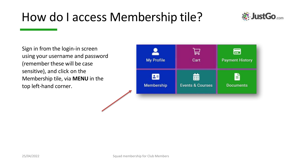### How do I access Membership tile?



Sign in from the login-in screen using your username and password (remember these will be case sensitive), and click on the Membership tile, via **MENU** in the top left-hand corner.

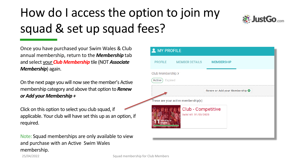# How do I access the option to join my squad & set up squad fees?



Once you have purchased your Swim Wales & Club annual membership, return to the *Membership* tab and select your *Club Membership* tile (NOT *Associate Membership*) again.

On the next page you will now see the member's Active membership category and above that option to *Renew or Add your Membership +*

Click on this option to select you club squad, if applicable. Your club will have set this up as an option, if required.

Note: Squad memberships are only available to view and purchase with an Active Swim Wales membership.

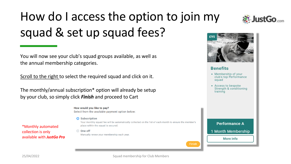# How do I access the option to join my squad & set up squad fees?

You will now see your club's squad groups available, as well as the annual membership categories.

Scroll to the right to select the required squad and click on it.

The monthly/annual subscription\* option will already be setup by your club, so simply click *Finish* and proceed to Cart

> How would you like to pay? Select from the available payment option below:

> > Manually renew your membership each year.

#### Subscription

◯ One off

Your monthly squad fee will be automatically collected on the 1st of each month to ensure the member's place within the squad is secured.

- collection is only available with *JustGo Pro*
- 25/04/2022 Squad membership for Club Members



#### **Benefits**

- Membership of your club's top Performance squad
- Access to bespoke Strength & conditioning training

**Performance A** 



More info



\*Monthly automated

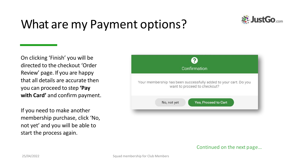# What are my Payment options?



On clicking ʻFinish' you will be directed to the checkout ʻOrder Review' page. If you are happy that all details are accurate then you can proceed to step **ʻPay with Card'** and confirm payment.

If you need to make another membership purchase, click 'No, not yet' and you will be able to start the process again.



#### Continued on the next page…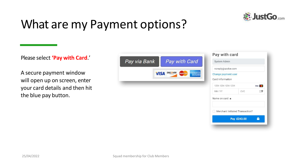

Pay £243.00

 $\bullet$ 

## What are my Payment options?

Please select **ʻPay with Card**.'

A secure payment window will open up on screen, enter your card details and then hit the blue pay button.

|                                                                                     |               |                                           | Pay with card                      |  |
|-------------------------------------------------------------------------------------|---------------|-------------------------------------------|------------------------------------|--|
| Pay via Bank                                                                        | Pay with Card | System Admin                              |                                    |  |
| <b>AMAE PROAK</b><br>DISCOVER<br><b>MasterCartz</b><br><b>VISA</b><br><b>EXPRES</b> |               | noreply@azolve.com<br>Change payment user |                                    |  |
|                                                                                     |               |                                           |                                    |  |
|                                                                                     |               |                                           | 1234 1234 1234 1234<br><b>VISA</b> |  |
|                                                                                     |               | MM / YY                                   | CVC                                |  |
|                                                                                     |               | Name on card *                            |                                    |  |
|                                                                                     |               | Merchant Initiated Transaction?           |                                    |  |